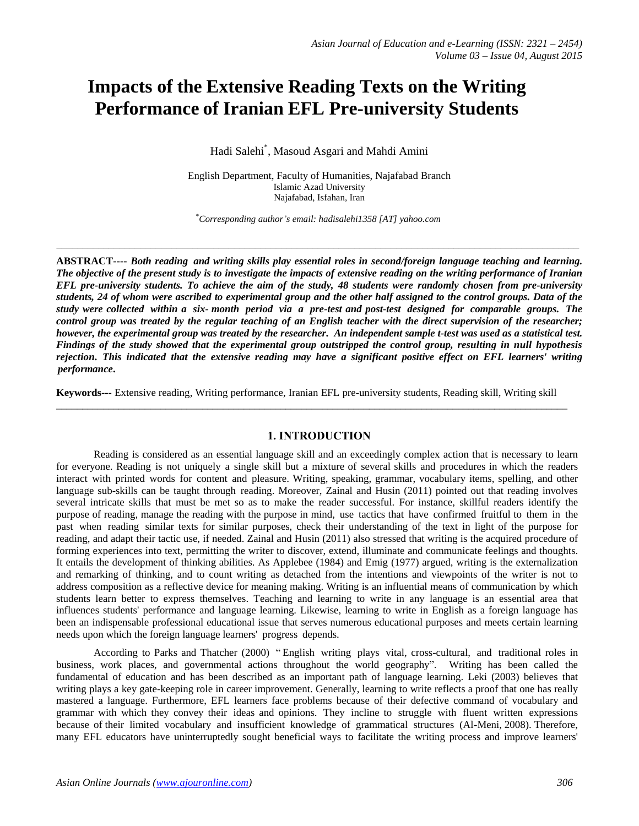# **Impacts of the Extensive Reading Texts on the Writing Performance of Iranian EFL Pre-university Students**

Hadi Salehi\* , Masoud Asgari and Mahdi Amini

English Department, Faculty of Humanities, Najafabad Branch Islamic Azad University Najafabad, Isfahan, Iran

\**Corresponding author's email: hadisalehi1358 [AT] yahoo.com*

**ABSTRACT----** *Both reading and writing skills play essential roles in second/foreign language teaching and learning. The objective of the present study is to investigate the impacts of extensive reading on the writing performance of Iranian EFL pre-university students. To achieve the aim of the study, 48 students were randomly chosen from pre-university students, 24 of whom were ascribed to experimental group and the other half assigned to the control groups. Data of the study were collected within a six- month period via a pre-test and post-test designed for comparable groups. The control group was treated by the regular teaching of an English teacher with the direct supervision of the researcher; however, the experimental group was treated by the researcher. An independent sample t-test was used as a statistical test. Findings of the study showed that the experimental group outstripped the control group, resulting in null hypothesis rejection. This indicated that the extensive reading may have a significant positive effect on EFL learners' writing performance***.** 

**Keywords---** Extensive reading, Writing performance, Iranian EFL pre-university students, Reading skill, Writing skill  $\_$  , and the set of the set of the set of the set of the set of the set of the set of the set of the set of the set of the set of the set of the set of the set of the set of the set of the set of the set of the set of th

# **1. INTRODUCTION**

Reading is considered as an essential language skill and an exceedingly complex action that is necessary to learn for everyone. Reading is not uniquely a single skill but a mixture of several skills and procedures in which the readers interact with printed words for content and pleasure. Writing, speaking, grammar, vocabulary items, spelling, and other language sub-skills can be taught through reading. Moreover, Zainal and Husin (2011) pointed out that reading involves several intricate skills that must be met so as to make the reader successful. For instance, skillful readers identify the purpose of reading, manage the reading with the purpose in mind, use tactics that have confirmed fruitful to them in the past when reading similar texts for similar purposes, check their understanding of the text in light of the purpose for reading, and adapt their tactic use, if needed. Zainal and Husin (2011) also stressed that writing is the acquired procedure of forming experiences into text, permitting the writer to discover, extend, illuminate and communicate feelings and thoughts. It entails the development of thinking abilities. As Applebee (1984) and Emig (1977) argued, writing is the externalization and remarking of thinking, and to count writing as detached from the intentions and viewpoints of the writer is not to address composition as a reflective device for meaning making. Writing is an influential means of communication by which students learn better to express themselves. Teaching and learning to write in any language is an essential area that influences students' performance and language learning. Likewise, learning to write in English as a foreign language has been an indispensable professional educational issue that serves numerous educational purposes and meets certain learning needs upon which the foreign language learners' progress depends.

According to Parks and Thatcher (2000) " English writing plays vital, cross-cultural, and traditional roles in business, work places, and governmental actions throughout the world geography". Writing has been called the fundamental of education and has been described as an important path of language learning. Leki (2003) believes that writing plays a key gate-keeping role in career improvement. Generally, learning to write reflects a proof that one has really mastered a language. Furthermore, EFL learners face problems because of their defective command of vocabulary and grammar with which they convey their ideas and opinions. They incline to struggle with fluent written expressions because of their limited vocabulary and insufficient knowledge of grammatical structures (Al-Meni, 2008). Therefore, many EFL educators have uninterruptedly sought beneficial ways to facilitate the writing process and improve learners'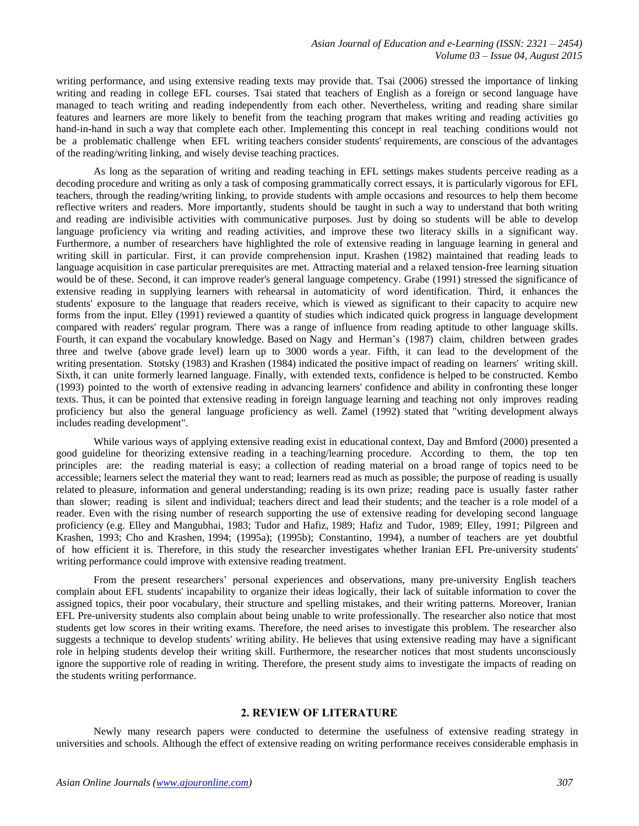writing performance, and using extensive reading texts may provide that. Tsai (2006) stressed the importance of linking writing and reading in college EFL courses. Tsai stated that teachers of English as a foreign or second language have managed to teach writing and reading independently from each other. Nevertheless, writing and reading share similar features and learners are more likely to benefit from the teaching program that makes writing and reading activities go hand-in-hand in such a way that complete each other. Implementing this concept in real teaching conditions would not be a problematic challenge when EFL writing teachers consider students' requirements, are conscious of the advantages of the reading/writing linking, and wisely devise teaching practices.

As long as the separation of writing and reading teaching in EFL settings makes students perceive reading as a decoding procedure and writing as only a task of composing grammatically correct essays, it is particularly vigorous for EFL teachers, through the reading/writing linking, to provide students with ample occasions and resources to help them become reflective writers and readers. More importantly, students should be taught in such a way to understand that both writing and reading are indivisible activities with communicative purposes. Just by doing so students will be able to develop language proficiency via writing and reading activities, and improve these two literacy skills in a significant way. Furthermore, a number of researchers have highlighted the role of extensive reading in language learning in general and writing skill in particular. First, it can provide comprehension input. Krashen (1982) maintained that reading leads to language acquisition in case particular prerequisites are met. Attracting material and a relaxed tension-free learning situation would be of these. Second, it can improve reader's general language competency. Grabe (1991) stressed the significance of extensive reading in supplying learners with rehearsal in automaticity of word identification. Third, it enhances the students' exposure to the language that readers receive, which is viewed as significant to their capacity to acquire new forms from the input. Elley (1991) reviewed a quantity of studies which indicated quick progress in language development compared with readers' regular program. There was a range of influence from reading aptitude to other language skills. Fourth, it can expand the vocabulary knowledge. Based on Nagy and Herman"s (1987) claim, children between grades three and twelve (above grade level) learn up to 3000 words a year. Fifth, it can lead to the development of the writing presentation. Stotsky (1983) and Krashen (1984) indicated the positive impact of reading on learners' writing skill. Sixth, it can unite formerly learned language. Finally, with extended texts, confidence is helped to be constructed. Kembo (1993) pointed to the worth of extensive reading in advancing learners' confidence and ability in confronting these longer texts. Thus, it can be pointed that extensive reading in foreign language learning and teaching not only improves reading proficiency but also the general language proficiency as well. Zamel (1992) stated that "writing development always includes reading development".

While various ways of applying extensive reading exist in educational context, [Day](http://www.sciencedirect.com/science/article/pii/S0346251X08000699) and Bmford (2000) presented a good guideline for theorizing extensive reading in a teaching/learning procedure. According to them, the top ten principles are: the reading material is easy; a collection of reading material on a broad range of topics need to be accessible; learners select the material they want to read; learners read as much as possible; the purpose of reading is usually related to pleasure, information and general understanding; reading is its own prize; reading pace is usually faster rather than slower; reading is silent and individual; teachers direct and lead their students; and the teacher is a role model of a reader. Even with the rising number of research supporting the use of extensive reading for developing second language proficiency (e.g. Elley and Mangubhai, 1983; Tudor and Hafiz, 1989; Hafiz and Tudor, 1989; Elley, 1991; Pilgreen and Krashen, 1993; Cho and Krashen, 1994; (1995a); (1995b); Constantino, 1994), a number of teachers are yet doubtful of how efficient it is. Therefore, in this study the researcher investigates whether Iranian EFL Pre-university students' writing performance could improve with extensive reading treatment.

From the present researchers' personal experiences and observations, many pre-university English teachers complain about EFL students' incapability to organize their ideas logically, their lack of suitable information to cover the assigned topics, their poor vocabulary, their structure and spelling mistakes, and their writing patterns. Moreover, Iranian EFL Pre-university students also complain about being unable to write professionally. The researcher also notice that most students get low scores in their writing exams. Therefore, the need arises to investigate this problem. The researcher also suggests a technique to develop students' writing ability. He believes that using extensive reading may have a significant role in helping students develop their writing skill. Furthermore, the researcher notices that most students unconsciously ignore the supportive role of reading in writing. Therefore, the present study aims to investigate the impacts of reading on the students writing performance.

## **2. REVIEW OF LITERATURE**

Newly many research papers were conducted to determine the usefulness of extensive reading strategy in universities and schools. Although the effect of extensive reading on writing performance receives considerable emphasis in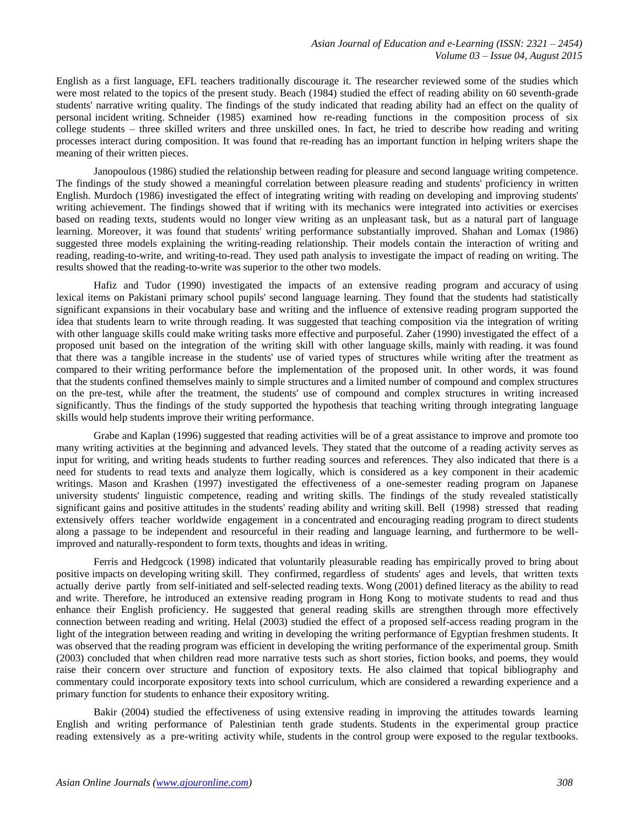English as a first language, EFL teachers traditionally discourage it. The researcher reviewed some of the studies which were most related to the topics of the present study. [Beach \(1984\)](javascript:__doLinkPostBack() studied the effect of reading ability on 60 seventh-grade students' narrative writing quality. The findings of the study indicated that reading ability had an effect on the quality of personal incident writing. Schneider (1985) examined how re-reading functions in the composition process of six college students – three skilled writers and three unskilled ones. In fact, he tried to describe how reading and writing processes interact during composition. It was found that re-reading has an important function in helping writers shape the meaning of their written pieces.

Janopoulous (1986) studied the relationship between reading for pleasure and second language writing competence. The findings of the study showed a meaningful correlation between pleasure reading and students' proficiency in written English. Murdoch (1986) investigated the effect of integrating writing with reading on developing and improving students' writing achievement. The findings showed that if writing with its mechanics were integrated into activities or exercises based on reading texts, students would no longer view writing as an unpleasant task, but as a natural part of language learning. Moreover, it was found that students' writing performance substantially improved. Shahan and Lomax (1986) suggested three models explaining the writing-reading relationship. Their models contain the interaction of writing and reading, reading-to-write, and writing-to-read. They used path analysis to investigate the impact of reading on writing. The results showed that the reading-to-write was superior to the other two models.

Hafiz and Tudor (1990) investigated the impacts of an extensive reading program and accuracy of using lexical items on Pakistani primary school pupils' second language learning. They found that the students had statistically significant expansions in their vocabulary base and writing and the influence of extensive reading program supported the idea that students learn to write through reading. It was suggested that teaching composition via the integration of writing with other language skills could make writing tasks more effective and purposeful. Zaher (1990) investigated the effect of a proposed unit based on the integration of the writing skill with other language skills, mainly with reading. it was found that there was a tangible increase in the students' use of varied types of structures while writing after the treatment as compared to their writing performance before the implementation of the proposed unit. In other words, it was found that the students confined themselves mainly to simple structures and a limited number of compound and complex structures on the pre-test, while after the treatment, the students' use of compound and complex structures in writing increased significantly. Thus the findings of the study supported the hypothesis that teaching writing through integrating language skills would help students improve their writing performance.

Grabe and Kaplan (1996) suggested that reading activities will be of a great assistance to improve and promote too many writing activities at the beginning and advanced levels. They stated that the outcome of a reading activity serves as input for writing, and writing heads students to further reading sources and references. They also indicated that there is a need for students to read texts and analyze them logically, which is considered as a key component in their academic writings. Mason and Krashen (1997) investigated the effectiveness of a one-semester reading program on Japanese university students' linguistic competence, reading and writing skills. The findings of the study revealed statistically significant gains and positive attitudes in the students' reading ability and writing skill. Bell (1998) stressed that reading extensively offers teacher worldwide engagement in a concentrated and encouraging reading program to direct students along a passage to be independent and resourceful in their reading and language learning, and furthermore to be wellimproved and naturally-respondent to form texts, thoughts and ideas in writing.

Ferris and Hedgcock (1998) indicated that voluntarily pleasurable reading has empirically proved to bring about positive impacts on developing writing skill. They confirmed, regardless of students' ages and levels, that written texts actually derive partly from self-initiated and self-selected reading texts. Wong (2001) defined literacy as the ability to read and write. Therefore, he introduced an extensive reading program in Hong Kong to motivate students to read and thus enhance their English proficiency. He suggested that general reading skills are strengthen through more effectively connection between reading and writing. Helal (2003) studied the effect of a proposed self-access reading program in the light of the integration between reading and writing in developing the writing performance of Egyptian freshmen students. It was observed that the reading program was efficient in developing the writing performance of the experimental group. Smith (2003) concluded that when children read more narrative tests such as short stories, fiction books, and poems, they would raise their concern over structure and function of expository texts. He also claimed that topical bibliography and commentary could incorporate expository texts into school curriculum, which are considered a rewarding experience and a primary function for students to enhance their expository writing.

Bakir (2004) studied the effectiveness of using extensive reading in improving the attitudes towards learning English and writing performance of Palestinian tenth grade students. Students in the experimental group practice reading extensively as a pre-writing activity while, students in the control group were exposed to the regular textbooks.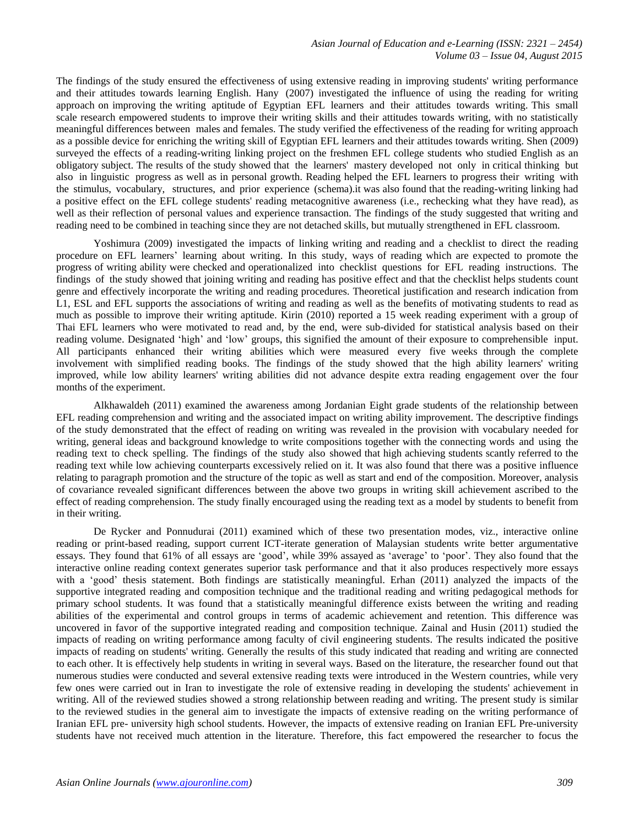The findings of the study ensured the effectiveness of using extensive reading in improving students' writing performance and their attitudes towards learning English. Hany (2007) [investigated the](javascript:__doLinkPostBack() influence of using the reading for writing approach on [improving](javascript:__doLinkPostBack() the writing [aptitude of](javascript:__doLinkPostBack() Egyptian EFL learners and their attitudes towards writing. This small scale research empowered students to improve their writing skills and their attitudes towards writing, with no statistically meaningful differences between males and females. The study verified the effectiveness of the reading for writing approach as a possible device for enriching the writing skill of Egyptian EFL learners and their attitudes towards writing. Shen (2009) surveyed the effects of a reading-writing linking project on the freshmen EFL college students who studied English as an obligatory subject. The results of the study showed that the learners' mastery developed not only in critical thinking but also in linguistic progress as well as in personal growth. Reading helped the EFL learners to progress their writing with the stimulus, vocabulary, structures, and prior experience (schema).it was also found that the reading-writing linking had a positive effect on the EFL college students' reading metacognitive awareness (i.e., rechecking what they have read), as well as their reflection of personal values and experience transaction. The findings of the study suggested that writing and reading need to be combined in teaching since they are not detached skills, but mutually strengthened in EFL classroom.

Yoshimura (2009) investigated the impacts of linking writing and reading and a checklist to direct the reading procedure on EFL learners" learning about writing. In this study, ways of reading which are expected to promote the progress of writing ability were checked and operationalized into checklist questions for EFL reading instructions. The findings of the study showed that joining writing and reading has positive effect and that the checklist helps students count genre and effectively incorporate the writing and reading procedures. Theoretical justification and research indication from L1, ESL and EFL supports the associations of writing and reading as well as the benefits of motivating students to read as much as possible to improve their writing aptitude. Kirin (2010) reported a 15 week reading experiment with a group of Thai EFL learners who were motivated to read and, by the end, were sub-divided for statistical analysis based on their reading volume. Designated "high" and "low" groups, this signified the amount of their exposure to comprehensible input. All participants enhanced their writing abilities which were measured every five weeks through the complete involvement with simplified reading books. The findings of the study showed that the high ability learners' writing improved, while low ability learners' writing abilities did not advance despite extra reading engagement over the four months of the experiment.

Alkhawaldeh (2011) examined the awareness among Jordanian Eight grade students of the relationship between EFL reading comprehension and writing and the associated impact on writing ability improvement. The descriptive findings of the study demonstrated that the effect of reading on writing was revealed in the provision with vocabulary needed for writing, general ideas and background knowledge to write compositions together with the connecting words and using the reading text to check spelling. The findings of the study also showed that high achieving students scantly referred to the reading text while low achieving counterparts excessively relied on it. It was also found that there was a positive influence relating to paragraph promotion and the structure of the topic as well as start and end of the composition. Moreover, analysis of covariance revealed significant differences between the above two groups in writing skill achievement ascribed to the effect of reading comprehension. The study finally encouraged using the reading text as a model by students to benefit from in their writing.

De Rycker and Ponnudurai (2011) examined which of these two presentation modes, viz., interactive online reading or print-based reading, support current ICT-iterate generation of Malaysian students write better argumentative essays. They found that 61% of all essays are "good", while 39% assayed as "average" to "poor". They also found that the interactive online reading context generates superior task performance and that it also produces respectively more essays with a "good" thesis statement. Both findings are statistically meaningful. Erhan (2011) analyzed the impacts of the supportive integrated reading and composition technique and the traditional reading and writing pedagogical methods for primary school students. It was found that a statistically meaningful difference exists between the writing and reading abilities of the experimental and control groups in terms of academic achievement and retention. This difference was uncovered in favor of the supportive integrated reading and composition technique. Zainal and Husin (2011) studied the impacts of reading on writing performance among faculty of civil engineering students. The results indicated the positive impacts of reading on students' writing. Generally the results of this study indicated that reading and writing are connected to each other. It is effectively help students in writing in several ways. Based on the literature, the researcher found out that numerous studies were conducted and several extensive reading texts were introduced in the Western countries, while very few ones were carried out in Iran to investigate the role of extensive reading in developing the students' achievement in writing. All of the reviewed studies showed a strong relationship between reading and writing. The present study is similar to the reviewed studies in the general aim to investigate the impacts of extensive reading on the writing performance of Iranian EFL pre- university high school students. However, the impacts of extensive reading on Iranian EFL Pre-university students have not received much attention in the literature. Therefore, this fact empowered the researcher to focus the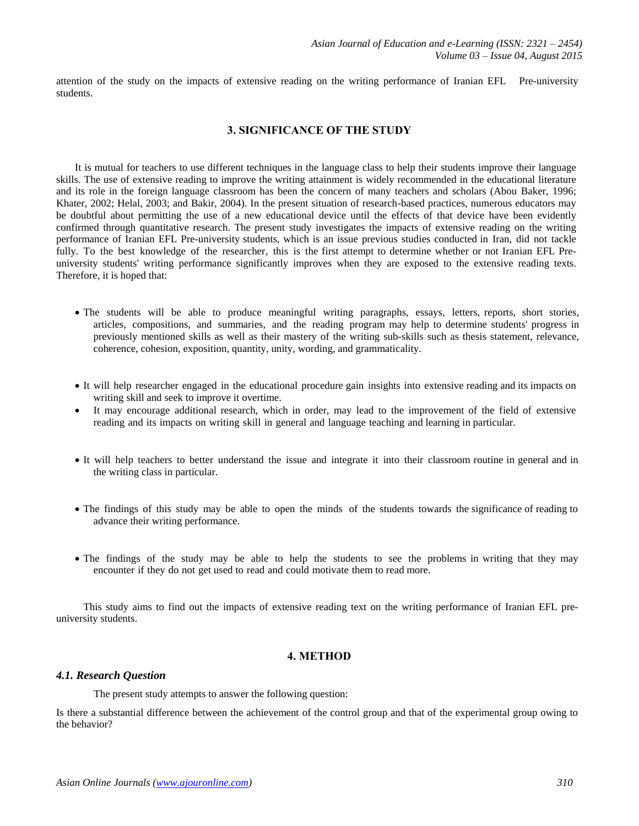attention of the study on the impacts of extensive reading on the writing performance of Iranian EFL Pre-university students.

## **3. SIGNIFICANCE OF THE STUDY**

It is mutual for teachers to use different techniques in the language class to help their students improve their language skills. The use of extensive reading to improve the writing attainment is widely recommended in the educational literature and its role in the foreign language classroom has been the concern of many teachers and scholars (Abou Baker, 1996; Khater, 2002; Helal, 2003; and Bakir, 2004). In the present situation of research-based practices, numerous educators may be doubtful about permitting the use of a new educational device until the effects of that device have been evidently confirmed through quantitative research. The present study investigates the impacts of extensive reading on the writing performance of Iranian EFL Pre-university students, which is an issue previous studies conducted in Iran, did not tackle fully. To the best knowledge of the researcher, this is the first attempt to determine whether or not Iranian EFL Preuniversity students' writing performance significantly improves when they are exposed to the extensive reading texts. Therefore, it is hoped that:

- The students will be able to produce meaningful writing paragraphs, essays, letters, reports, short stories, articles, compositions, and summaries, and the reading program may help to determine students' progress in previously mentioned skills as well as their mastery of the writing sub-skills such as thesis statement, relevance, coherence, cohesion, exposition, quantity, unity, wording, and grammaticality.
- It will help researcher engaged in the educational procedure gain insights into extensive reading and its impacts on writing skill and seek to improve it overtime.
- It may encourage additional research, which in order, may lead to the improvement of the field of extensive reading and its impacts on writing skill in general and language teaching and learning in particular.
- It will help teachers to better understand the issue and integrate it into their classroom routine in general and in the writing class in particular.
- The findings of this study may be able to open the minds of the students towards the significance of reading to advance their writing performance.
- The findings of the study may be able to help the students to see the problems in writing that they may encounter if they do not get used to read and could motivate them to read more.

This study aims to find out the impacts of extensive reading text on the writing performance of Iranian EFL preuniversity students.

## **4. METHOD**

#### *4.1. Research Question*

The present study attempts to answer the following question:

Is there a substantial difference between the achievement of the control group and that of the experimental group owing to the behavior?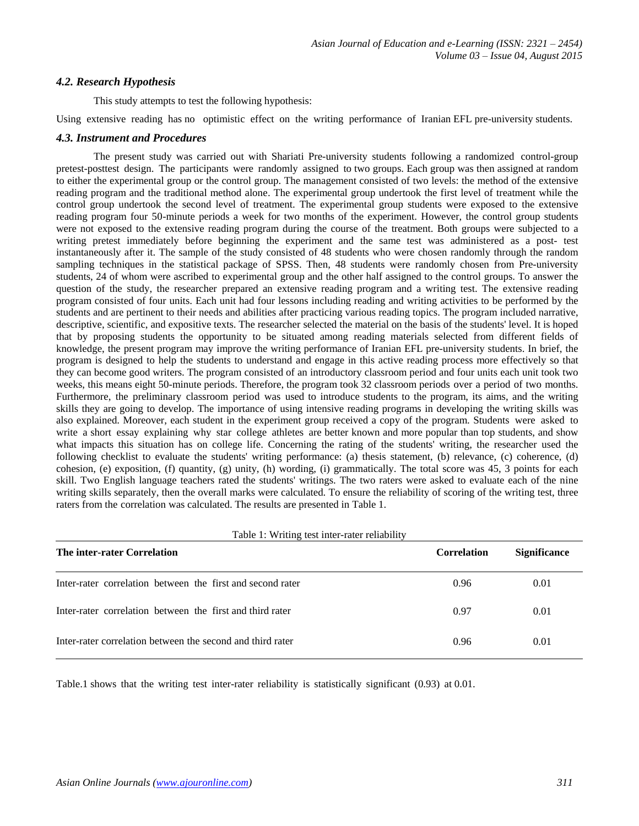## *4.2. Research Hypothesis*

This study attempts to test the following hypothesis:

Using extensive reading has no optimistic effect on the writing performance of Iranian EFL pre-university students.

## *4.3. Instrument and Procedures*

The present study was carried out with Shariati Pre-university students following a randomized control-group pretest-posttest design. The participants were randomly assigned to two groups. Each group was then assigned at random to either the experimental group or the control group. The management consisted of two levels: the method of the extensive reading program and the traditional method alone. The experimental group undertook the first level of treatment while the control group undertook the second level of treatment. The experimental group students were exposed to the extensive reading program four 50-minute periods a week for two months of the experiment. However, the control group students were not exposed to the extensive reading program during the course of the treatment. Both groups were subjected to a writing pretest immediately before beginning the experiment and the same test was administered as a post- test instantaneously after it. The sample of the study consisted of 48 students who were chosen randomly through the random sampling techniques in the statistical package of SPSS. Then, 48 students were randomly chosen from Pre-university students, 24 of whom were ascribed to experimental group and the other half assigned to the control groups. To answer the question of the study, the researcher prepared an extensive reading program and a writing test. The extensive reading program consisted of four units. Each unit had four lessons including reading and writing activities to be performed by the students and are pertinent to their needs and abilities after practicing various reading topics. The program included narrative, descriptive, scientific, and expositive texts. The researcher selected the material on the basis of the students' level. It is hoped that by proposing students the opportunity to be situated among reading materials selected from different fields of knowledge, the present program may improve the writing performance of Iranian EFL pre-university students. In brief, the program is designed to help the students to understand and engage in this active reading process more effectively so that they can become good writers. The program consisted of an introductory classroom period and four units each unit took two weeks, this means eight 50-minute periods. Therefore, the program took 32 classroom periods over a period of two months. Furthermore, the preliminary classroom period was used to introduce students to the program, its aims, and the writing skills they are going to develop. The importance of using intensive reading programs in developing the writing skills was also explained. Moreover, each student in the experiment group received a copy of the program. Students were asked to write a short essay explaining why star college athletes are better known and more popular than top students, and show what impacts this situation has on college life. Concerning the rating of the students' writing, the researcher used the following checklist to evaluate the students' writing performance: (a) thesis statement, (b) relevance, (c) coherence, (d) cohesion, (e) exposition, (f) quantity, (g) unity, (h) wording, (i) grammatically. The total score was  $45$ , 3 points for each skill. Two English language teachers rated the students' writings. The two raters were asked to evaluate each of the nine writing skills separately, then the overall marks were calculated. To ensure the reliability of scoring of the writing test, three raters from the correlation was calculated. The results are presented in Table 1.

| The inter-rater Correlation                                | <b>Correlation</b> | <b>Significance</b> |  |
|------------------------------------------------------------|--------------------|---------------------|--|
| Inter-rater correlation between the first and second rater | 0.96               | 0.01                |  |
| Inter-rater correlation between the first and third rater  | 0.97               | 0.01                |  |
| Inter-rater correlation between the second and third rater | 0.96               | 0.01                |  |

 $Table 1: Within a test item notation which$ 

Table.1 shows that the writing test inter-rater reliability is statistically significant (0.93) at 0.01.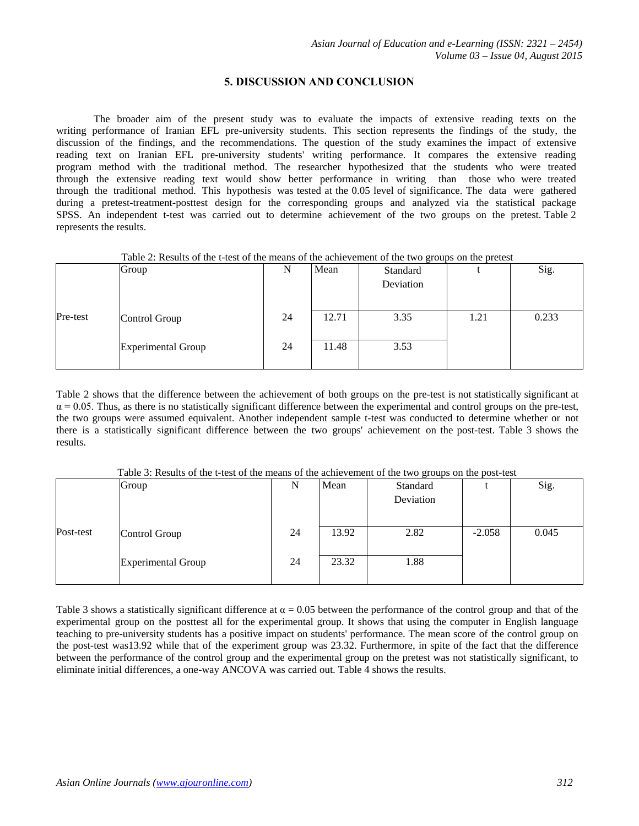# **5. DISCUSSION AND CONCLUSION**

The broader aim of the present study was to evaluate the impacts of extensive reading texts on the writing performance of Iranian EFL pre-university students. This section represents the findings of the study, the discussion of the findings, and the recommendations. The question of the study examines the impact of extensive reading text on Iranian EFL pre-university students' writing performance. It compares the extensive reading program method with the traditional method. The researcher hypothesized that the students who were treated through the extensive reading text would show better performance in writing than those who were treated through the traditional method. This hypothesis was tested at the 0.05 level of significance. The data were gathered during a pretest-treatment-posttest design for the corresponding groups and analyzed via the statistical package SPSS. An independent t-test was carried out to determine achievement of the two groups on the pretest. Table 2 represents the results.

| Table 2: Results of the t-test of the means of the achievement of the two groups on the pretest |  |  |  |
|-------------------------------------------------------------------------------------------------|--|--|--|
|-------------------------------------------------------------------------------------------------|--|--|--|

|          | Group                     | N  | Mean  | Standard  |      | Sig.  |
|----------|---------------------------|----|-------|-----------|------|-------|
|          |                           |    |       | Deviation |      |       |
|          |                           |    |       |           |      |       |
| Pre-test | Control Group             | 24 | 12.71 | 3.35      | 1.21 | 0.233 |
|          |                           |    |       |           |      |       |
|          | <b>Experimental Group</b> | 24 | 11.48 | 3.53      |      |       |
|          |                           |    |       |           |      |       |

Table 2 shows that the difference between the achievement of both groups on the pre-test is not statistically significant at  $\alpha$  = 0.05. Thus, as there is no statistically significant difference between the experimental and control groups on the pre-test, the two groups were assumed equivalent. Another independent sample t-test was conducted to determine whether or not there is a statistically significant difference between the two groups' achievement on the post-test. Table 3 shows the results.

| Table 3: Results of the t-test of the means of the achievement of the two groups on the post-test |  |  |  |
|---------------------------------------------------------------------------------------------------|--|--|--|
|                                                                                                   |  |  |  |

|           | Group                     | N  | Mean  | Standard<br>Deviation |          | Sig.  |
|-----------|---------------------------|----|-------|-----------------------|----------|-------|
|           |                           |    |       |                       |          |       |
| Post-test | Control Group             | 24 | 13.92 | 2.82                  | $-2.058$ | 0.045 |
|           | <b>Experimental Group</b> | 24 | 23.32 | 1.88                  |          |       |

Table 3 shows a statistically significant difference at  $\alpha = 0.05$  between the performance of the control group and that of the experimental group on the posttest all for the experimental group. It shows that using the computer in English language teaching to pre-university students has a positive impact on students' performance. The mean score of the control group on the post-test was13.92 while that of the experiment group was 23.32. Furthermore, in spite of the fact that the difference between the performance of the control group and the experimental group on the pretest was not statistically significant, to eliminate initial differences, a one-way ANCOVA was carried out. Table 4 shows the results.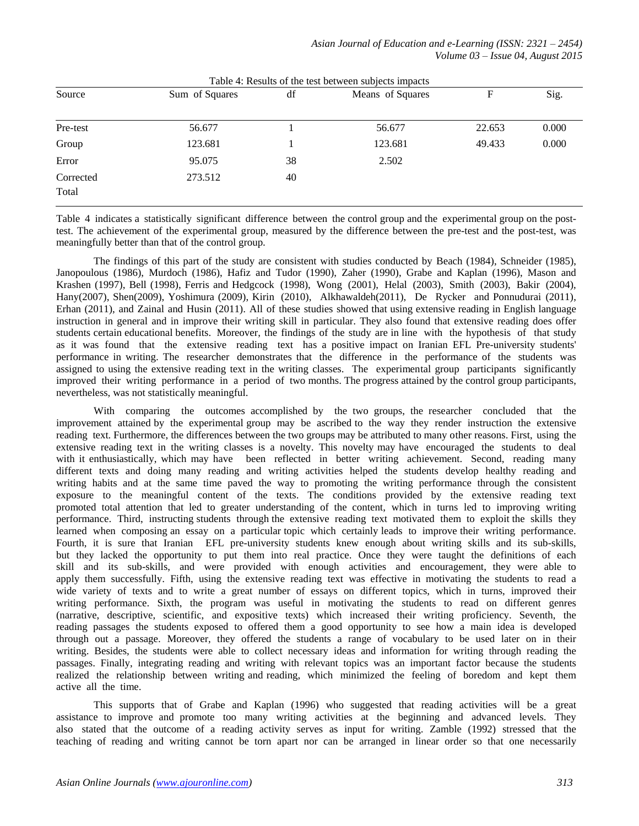| Table 4: Results of the test between subjects impacts |                |    |                  |        |       |  |  |
|-------------------------------------------------------|----------------|----|------------------|--------|-------|--|--|
| Source                                                | Sum of Squares | df | Means of Squares | F      | Sig.  |  |  |
|                                                       |                |    |                  |        |       |  |  |
| Pre-test                                              | 56.677         |    | 56.677           | 22.653 | 0.000 |  |  |
| Group                                                 | 123.681        |    | 123.681          | 49.433 | 0.000 |  |  |
| Error                                                 | 95.075         | 38 | 2.502            |        |       |  |  |
| Corrected<br>Total                                    | 273.512        | 40 |                  |        |       |  |  |

Table 4 indicates a statistically significant difference between the control group and the experimental group on the posttest. The achievement of the experimental group, measured by the difference between the pre-test and the post-test, was meaningfully better than that of the control group.

The findings of this part of the study are consistent with studies conducted by Beach [\(1984\),](javascript:__doLinkPostBack() Schneider (1985), Janopoulous (1986), Murdoch (1986), Hafiz and Tudor (1990), Zaher (1990), Grabe and Kaplan (1996), Mason and Krashen (1997), Bell (1998), Ferris and Hedgcock (1998), Wong (2001), Helal (2003), Smith (2003), Bakir (2004), Hany(2007), Shen(2009), Yoshimura [\(2009\),](javascript:__doLinkPostBack() Kirin [\(2010\), Alkhawaldeh\(201](javascript:__doLinkPostBack()1), De Rycker and Ponnudurai (2011), Erhan [\(2011\),](javascript:__doLinkPostBack() and Zainal and Husin (2011). All of these studies showed that using extensive reading in English language instruction in general and in improve their writing skill in particular. They also found that extensive reading does offer students certain educational benefits. Moreover, the findings of the study are in line with the hypothesis of that study as it was found that the extensive reading text has a positive impact on Iranian EFL Pre-university students' performance in writing. The researcher demonstrates that the difference in the performance of the students was assigned to using the extensive reading text in the writing classes. The experimental group participants significantly improved their writing performance in a period of two months. The progress attained by the control group participants, nevertheless, was not statistically meaningful.

With comparing the outcomes accomplished by the two groups, the researcher concluded that the improvement attained by the experimental group may be ascribed to the way they render instruction the extensive reading text. Furthermore, the differences between the two groups may be attributed to many other reasons. First, using the extensive reading text in the writing classes is a novelty. This novelty may have encouraged the students to deal with it enthusiastically, which may have been reflected in better writing achievement. Second, reading many different texts and doing many reading and writing activities helped the students develop healthy reading and writing habits and at the same time paved the way to promoting the writing performance through the consistent exposure to the meaningful content of the texts. The conditions provided by the extensive reading text promoted total attention that led to greater understanding of the content, which in turns led to improving writing performance. Third, instructing students through the extensive reading text motivated them to exploit the skills they learned when composing an essay on a particular topic which certainly leads to improve their writing performance. Fourth, it is sure that Iranian EFL pre-university students knew enough about writing skills and its sub-skills, but they lacked the opportunity to put them into real practice. Once they were taught the definitions of each skill and its sub-skills, and were provided with enough activities and encouragement, they were able to apply them successfully. Fifth, using the extensive reading text was effective in motivating the students to read a wide variety of texts and to write a great number of essays on different topics, which in turns, improved their writing performance. Sixth, the program was useful in motivating the students to read on different genres (narrative, descriptive, scientific, and expositive texts) which increased their writing proficiency. Seventh, the reading passages the students exposed to offered them a good opportunity to see how a main idea is developed through out a passage. Moreover, they offered the students a range of vocabulary to be used later on in their writing. Besides, the students were able to collect necessary ideas and information for writing through reading the passages. Finally, integrating reading and writing with relevant topics was an important factor because the students realized the relationship between writing and reading, which minimized the feeling of boredom and kept them active all the time.

This supports that of Grabe and Kaplan (1996) who suggested that reading activities will be a great assistance to improve and promote too many writing activities at the beginning and advanced levels. They also stated that the outcome of a reading activity serves as input for writing. Zamble (1992) stressed that the teaching of reading and writing cannot be torn apart nor can be arranged in linear order so that one necessarily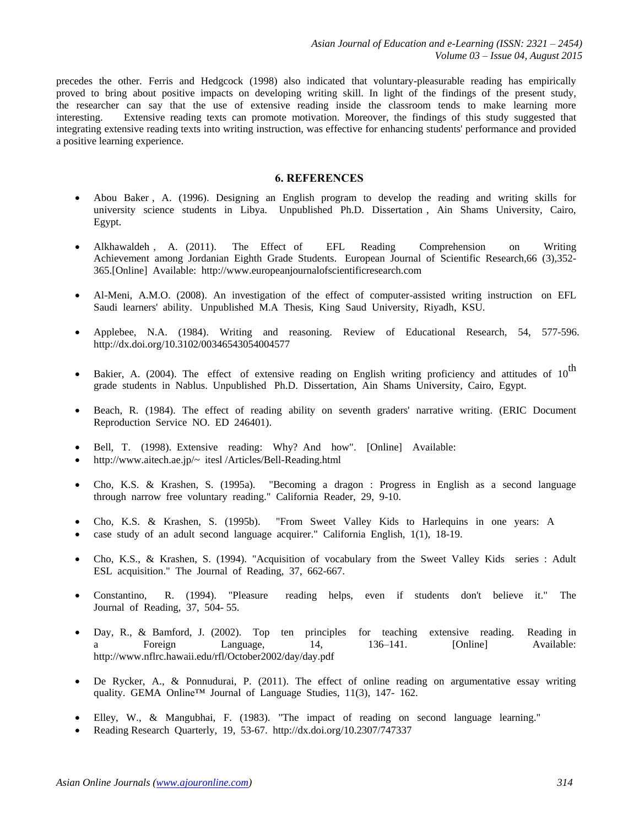precedes the other. Ferris and Hedgcock (1998) also indicated that voluntary-pleasurable reading has empirically proved to bring about positive impacts on developing writing skill. In light of the findings of the present study, the researcher can say that the use of extensive reading inside the classroom tends to make learning more interesting. Extensive reading texts can promote motivation. Moreover, the findings of this study suggested that integrating extensive reading texts into writing instruction, was effective for enhancing students' performance and provided a positive learning experience.

# **6. REFERENCES**

- Abou Baker , A. (1996). Designing an English program to develop the reading and writing skills for university science students in Libya. Unpublished Ph.D. Dissertation , Ain Shams University, Cairo, Egypt.
- Alkhawaldeh , A. (2011). The Effect of EFL Reading Comprehension on Writing Achievement among Jordanian Eighth Grade Students. European Journal of Scientific Research,66 (3),352- 365.[Online] Available[: http://www.europeanjournalofscientificresearch.com](http://www.europeanjournalofscientificresearch.com/)
- Al-Meni, A.M.O. (2008). An investigation of the effect of computer-assisted writing instruction on EFL Saudi learners' ability. Unpublished M.A Thesis, King Saud University, Riyadh, KSU.
- Applebee, N.A. (1984). Writing and reasoning. Review of Educational Research, 54, 577-596[.](http://dx.doi.org/10.3102/)  [http://dx.doi.org/10.3102/00346543054004577](http://dx.doi.org/10.3102/)
- Bakier, A. (2004). The effect of extensive reading on English writing proficiency and attitudes of  $10^{\text{th}}$ grade students in Nablus. Unpublished Ph.D. Dissertation, Ain Shams University, Cairo, Egypt.
- [Beach, R. \(1984\).](javascript:__doLinkPostBack() The effect of reading ability on seventh graders' narrative writing. (ERIC Document Reproduction Service NO. ED 246401).
- Bell, T. (1998). Extensive reading: Why? And how". [Online] Available:
- <http://www.aitech.ae.jp/~>itesl /Articles/Bell-Reading.html
- Cho, K.S. & Krashen, S. (1995a). "Becoming a dragon : Progress in English as a second language through narrow free voluntary reading." California Reader, 29, 9-10.
- Cho, K.S. & Krashen, S. (1995b). "From Sweet Valley Kids to Harlequins in one years: A
- case study of an adult second language acquirer." California English, 1(1), 18-19.
- Cho, K.S., & Krashen, S. (1994). "Acquisition of vocabulary from the Sweet Valley Kids series : Adult ESL acquisition." The Journal of Reading, 37, 662-667.
- Constantino, R. (1994). "Pleasure reading helps, even if students don't believe it." The Journal of Reading, 37, 504- 55.
- Day, R., & Bamford, J. (2002). Top ten principles for teaching extensive reading. Reading in a Foreign Language, 14, 136–141. [Online] Available[:](http://www.nflrc.hawaii.edu/rfl/October2002/day/day.pdf)  <http://www.nflrc.hawaii.edu/rfl/October2002/day/day.pdf>
- De Rycker, A., & Ponnudurai, P. (2011). The effect of online reading on argumentative essay writing quality. GEMA Online™ Journal of Language Studies, 11(3), 147-162.
- Elley, W., & Mangubhai, F. (1983). "The impact of reading on second language learning."
- Reading Research Quarterly, 19, 53[-67. http://dx.doi.org/10.2307/747337](http://dx.doi.org/10.2307/)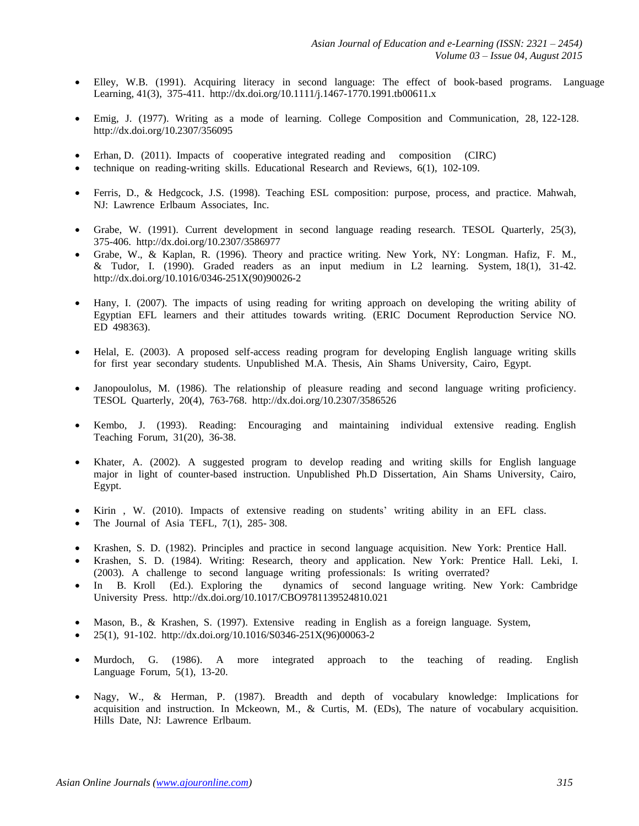- Elley, W.B. (1991). Acquiring literacy in second language: The effect of book-based programs. Language Learning, 41(3), 375-411[. http://dx.doi.org/10.1111/j](http://dx.doi.org/10.1111/).1467-1770.1991.tb00611.x
- Emig, J. (1977). Writing as a mode of learning. College Composition and Communication, 28, [122-128.](http://dx.doi.org/10.2307/)  <http://dx.doi.org/10.2307/>356095
- Erhan, D. (2011). Impacts of cooperative integrated reading and composition (CIRC)
- technique on reading-writing skills. [Educational Research and Reviews,](javascript:__doLinkPostBack() 6(1), 102-109.
- Ferris, D., & Hedgcock, J.S. (1998). Teaching ESL composition: purpose, process, and practice. Mahwah, NJ: Lawrence Erlbaum Associates, Inc.
- Grabe, W. (1991). Current development in second language reading research. TESOL Quarterly, 25(3), 375-4[06. http://dx.doi.org/10.2307/3586977](http://dx.doi.org/10.2307/)
- Grabe, W., & Kaplan, R. (1996). Theory and practice writing. New York, NY: Longman. Hafiz, F. M., & Tudor, I. (1990). Graded readers as an input medium in L2 learning. System, 18(1), 31-4[2.](http://dx.doi.org/10.1016/)  [http://dx.doi.org/10.1016/0346-251](http://dx.doi.org/10.1016/)X(90)90026-2
- Hany, I. (2007). The impacts of using reading for writing approach on developing the writing ability of Egyptian EFL learners and their attitudes towards writing. (ERIC Document Reproduction Service NO. ED 498363).
- Helal, E. (2003). A proposed self-access reading program for developing English language writing skills for first year secondary students. Unpublished M.A. Thesis, Ain Shams University, Cairo, Egypt.
- Janopoulolus, M. (1986). The relationship of pleasure reading and second language writing proficiency. TESOL Quarterly, 2[0\(4\), 763-768. http://dx.doi.org/10.2307/3586526](http://dx.doi.org/10.2307/)
- Kembo, J. (1993). Reading: Encouraging and maintaining individual extensive reading. English Teaching Forum, 31(20), 36-38.
- Khater, A. (2002). A suggested program to develop reading and writing skills for English language major in light of counter-based instruction. Unpublished Ph.D Dissertation, Ain Shams University, Cairo, Egypt.
- Kirin , W. (2010). Impacts of extensive reading on students' writing ability in an EFL class.
- The Journal of Asia TEFL, 7(1), 285- 308.
- Krashen, S. D. (1982). Principles and practice in second language acquisition. New York: Prentice Hall.
- Krashen, S. D. (1984). Writing: Research, theory and application. New York: Prentice Hall. Leki, I. (2003). A challenge to second language writing professionals: Is writing overrated?
- In B. Kroll (Ed.). Exploring the dynamics of second language writing. New York: Cambridge University Press. [http://dx.doi.org/10.1017/CBO](http://dx.doi.org/10.1017/)9781139524810.021
- Mason, B., & Krashen, S. (1997). Extensive reading in English as a foreign language. System,
- 25(1), 91-1[02. http://dx.doi.org/10.1016/S0346](http://dx.doi.org/10.1016/)-251X(96)00063-2
- Murdoch, G. (1986). A more integrated approach to the teaching of reading. English Language Forum, 5(1), 13-20.
- Nagy, W., & Herman, P. (1987). Breadth and depth of vocabulary knowledge: Implications for acquisition and instruction. In Mckeown, M., & Curtis, M. (EDs), The nature of vocabulary acquisition. Hills Date, NJ: Lawrence Erlbaum.